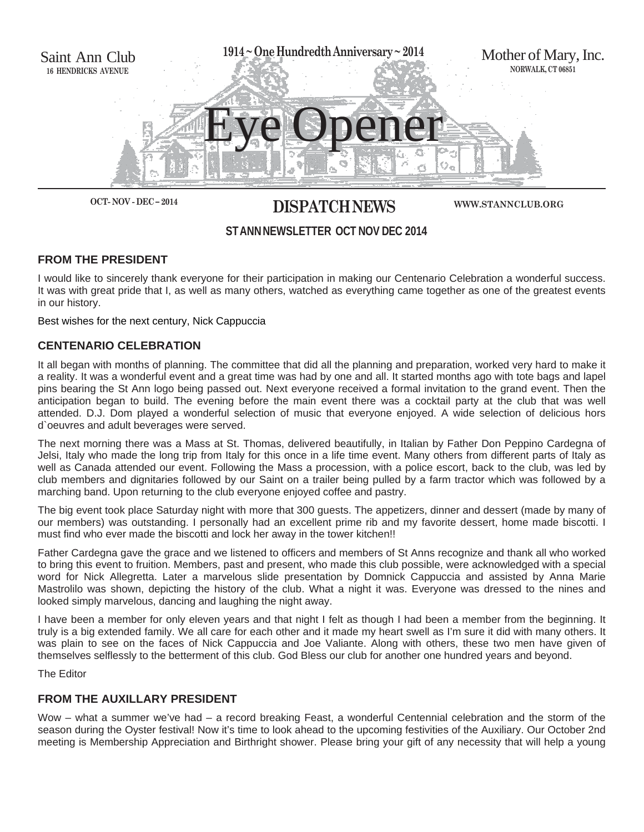

# **OCT- NOV - DEC – 2014 DISPATCH NEWS**

**WWW.STANNCLUB.ORG**

# **ST ANN NEWSLETTER OCT NOV DEC 2014**

# **FROM THE PRESIDENT**

I would like to sincerely thank everyone for their participation in making our Centenario Celebration a wonderful success. It was with great pride that I, as well as many others, watched as everything came together as one of the greatest events in our history.

Best wishes for the next century, Nick Cappuccia

# **CENTENARIO CELEBRATION**

It all began with months of planning. The committee that did all the planning and preparation, worked very hard to make it a reality. It was a wonderful event and a great time was had by one and all. It started months ago with tote bags and lapel pins bearing the St Ann logo being passed out. Next everyone received a formal invitation to the grand event. Then the anticipation began to build. The evening before the main event there was a cocktail party at the club that was well attended. D.J. Dom played a wonderful selection of music that everyone enjoyed. A wide selection of delicious hors d`oeuvres and adult beverages were served.

The next morning there was a Mass at St. Thomas, delivered beautifully, in Italian by Father Don Peppino Cardegna of Jelsi, Italy who made the long trip from Italy for this once in a life time event. Many others from different parts of Italy as well as Canada attended our event. Following the Mass a procession, with a police escort, back to the club, was led by club members and dignitaries followed by our Saint on a trailer being pulled by a farm tractor which was followed by a marching band. Upon returning to the club everyone enjoyed coffee and pastry.

The big event took place Saturday night with more that 300 guests. The appetizers, dinner and dessert (made by many of our members) was outstanding. I personally had an excellent prime rib and my favorite dessert, home made biscotti. I must find who ever made the biscotti and lock her away in the tower kitchen!!

Father Cardegna gave the grace and we listened to officers and members of St Anns recognize and thank all who worked to bring this event to fruition. Members, past and present, who made this club possible, were acknowledged with a special word for Nick Allegretta. Later a marvelous slide presentation by Domnick Cappuccia and assisted by Anna Marie Mastrolilo was shown, depicting the history of the club. What a night it was. Everyone was dressed to the nines and looked simply marvelous, dancing and laughing the night away.

I have been a member for only eleven years and that night I felt as though I had been a member from the beginning. It truly is a big extended family. We all care for each other and it made my heart swell as I'm sure it did with many others. It was plain to see on the faces of Nick Cappuccia and Joe Valiante. Along with others, these two men have given of themselves selflessly to the betterment of this club. God Bless our club for another one hundred years and beyond.

The Editor

# **FROM THE AUXILLARY PRESIDENT**

Wow – what a summer we've had – a record breaking Feast, a wonderful Centennial celebration and the storm of the season during the Oyster festival! Now it's time to look ahead to the upcoming festivities of the Auxiliary. Our October 2nd meeting is Membership Appreciation and Birthright shower. Please bring your gift of any necessity that will help a young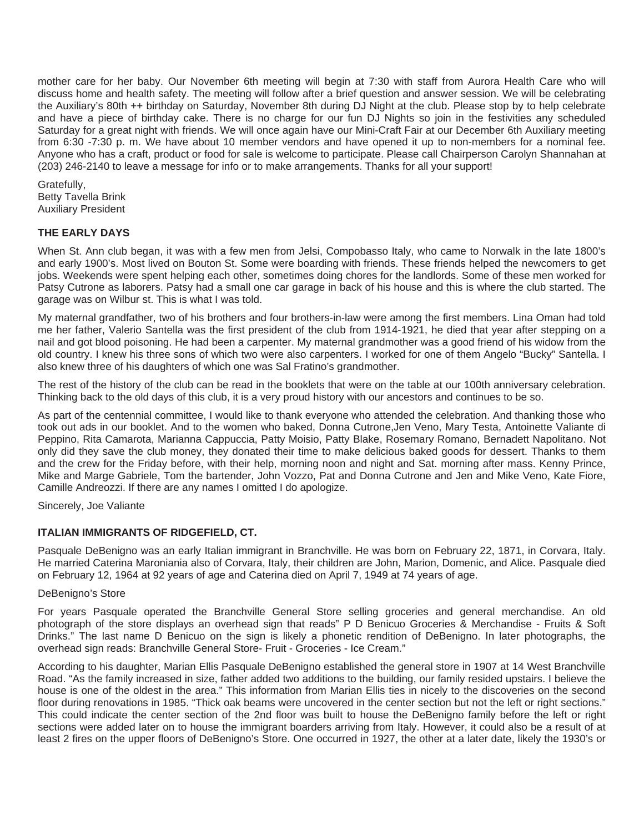mother care for her baby. Our November 6th meeting will begin at 7:30 with staff from Aurora Health Care who will discuss home and health safety. The meeting will follow after a brief question and answer session. We will be celebrating the Auxiliary's 80th ++ birthday on Saturday, November 8th during DJ Night at the club. Please stop by to help celebrate and have a piece of birthday cake. There is no charge for our fun DJ Nights so join in the festivities any scheduled Saturday for a great night with friends. We will once again have our Mini-Craft Fair at our December 6th Auxiliary meeting from 6:30 -7:30 p. m. We have about 10 member vendors and have opened it up to non-members for a nominal fee. Anyone who has a craft, product or food for sale is welcome to participate. Please call Chairperson Carolyn Shannahan at (203) 246-2140 to leave a message for info or to make arrangements. Thanks for all your support!

Gratefully, Betty Tavella Brink Auxiliary President

## **THE EARLY DAYS**

When St. Ann club began, it was with a few men from Jelsi, Compobasso Italy, who came to Norwalk in the late 1800's and early 1900's. Most lived on Bouton St. Some were boarding with friends. These friends helped the newcomers to get jobs. Weekends were spent helping each other, sometimes doing chores for the landlords. Some of these men worked for Patsy Cutrone as laborers. Patsy had a small one car garage in back of his house and this is where the club started. The garage was on Wilbur st. This is what I was told.

My maternal grandfather, two of his brothers and four brothers-in-law were among the first members. Lina Oman had told me her father, Valerio Santella was the first president of the club from 1914-1921, he died that year after stepping on a nail and got blood poisoning. He had been a carpenter. My maternal grandmother was a good friend of his widow from the old country. I knew his three sons of which two were also carpenters. I worked for one of them Angelo "Bucky" Santella. I also knew three of his daughters of which one was Sal Fratino's grandmother.

The rest of the history of the club can be read in the booklets that were on the table at our 100th anniversary celebration. Thinking back to the old days of this club, it is a very proud history with our ancestors and continues to be so.

As part of the centennial committee, I would like to thank everyone who attended the celebration. And thanking those who took out ads in our booklet. And to the women who baked, Donna Cutrone,Jen Veno, Mary Testa, Antoinette Valiante di Peppino, Rita Camarota, Marianna Cappuccia, Patty Moisio, Patty Blake, Rosemary Romano, Bernadett Napolitano. Not only did they save the club money, they donated their time to make delicious baked goods for dessert. Thanks to them and the crew for the Friday before, with their help, morning noon and night and Sat. morning after mass. Kenny Prince, Mike and Marge Gabriele, Tom the bartender, John Vozzo, Pat and Donna Cutrone and Jen and Mike Veno, Kate Fiore, Camille Andreozzi. If there are any names I omitted I do apologize.

Sincerely, Joe Valiante

#### **ITALIAN IMMIGRANTS OF RIDGEFIELD, CT.**

Pasquale DeBenigno was an early Italian immigrant in Branchville. He was born on February 22, 1871, in Corvara, Italy. He married Caterina Maroniania also of Corvara, Italy, their children are John, Marion, Domenic, and Alice. Pasquale died on February 12, 1964 at 92 years of age and Caterina died on April 7, 1949 at 74 years of age.

#### DeBenigno's Store

For years Pasquale operated the Branchville General Store selling groceries and general merchandise. An old photograph of the store displays an overhead sign that reads" P D Benicuo Groceries & Merchandise - Fruits & Soft Drinks." The last name D Benicuo on the sign is likely a phonetic rendition of DeBenigno. In later photographs, the overhead sign reads: Branchville General Store- Fruit - Groceries - Ice Cream."

According to his daughter, Marian Ellis Pasquale DeBenigno established the general store in 1907 at 14 West Branchville Road. "As the family increased in size, father added two additions to the building, our family resided upstairs. I believe the house is one of the oldest in the area." This information from Marian Ellis ties in nicely to the discoveries on the second floor during renovations in 1985. "Thick oak beams were uncovered in the center section but not the left or right sections." This could indicate the center section of the 2nd floor was built to house the DeBenigno family before the left or right sections were added later on to house the immigrant boarders arriving from Italy. However, it could also be a result of at least 2 fires on the upper floors of DeBenigno's Store. One occurred in 1927, the other at a later date, likely the 1930's or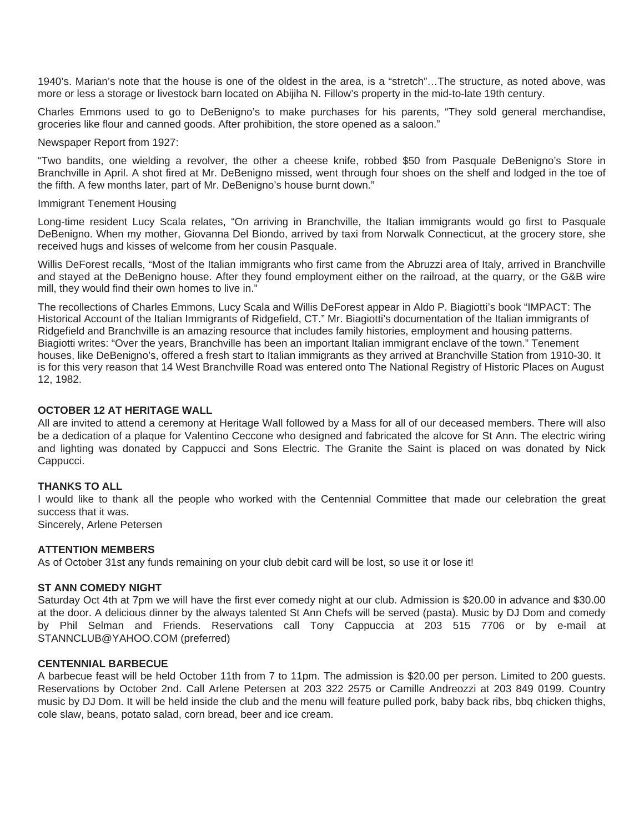1940's. Marian's note that the house is one of the oldest in the area, is a "stretch"…The structure, as noted above, was more or less a storage or livestock barn located on Abijiha N. Fillow's property in the mid-to-late 19th century.

Charles Emmons used to go to DeBenigno's to make purchases for his parents, "They sold general merchandise, groceries like flour and canned goods. After prohibition, the store opened as a saloon."

Newspaper Report from 1927:

"Two bandits, one wielding a revolver, the other a cheese knife, robbed \$50 from Pasquale DeBenigno's Store in Branchville in April. A shot fired at Mr. DeBenigno missed, went through four shoes on the shelf and lodged in the toe of the fifth. A few months later, part of Mr. DeBenigno's house burnt down."

Immigrant Tenement Housing

Long-time resident Lucy Scala relates, "On arriving in Branchville, the Italian immigrants would go first to Pasquale DeBenigno. When my mother, Giovanna Del Biondo, arrived by taxi from Norwalk Connecticut, at the grocery store, she received hugs and kisses of welcome from her cousin Pasquale.

Willis DeForest recalls, "Most of the Italian immigrants who first came from the Abruzzi area of Italy, arrived in Branchville and stayed at the DeBenigno house. After they found employment either on the railroad, at the quarry, or the G&B wire mill, they would find their own homes to live in."

The recollections of Charles Emmons, Lucy Scala and Willis DeForest appear in Aldo P. Biagiotti's book "IMPACT: The Historical Account of the Italian Immigrants of Ridgefield, CT." Mr. Biagiotti's documentation of the Italian immigrants of Ridgefield and Branchville is an amazing resource that includes family histories, employment and housing patterns. Biagiotti writes: "Over the years, Branchville has been an important Italian immigrant enclave of the town." Tenement houses, like DeBenigno's, offered a fresh start to Italian immigrants as they arrived at Branchville Station from 1910-30. It is for this very reason that 14 West Branchville Road was entered onto The National Registry of Historic Places on August 12, 1982.

## **OCTOBER 12 AT HERITAGE WALL**

All are invited to attend a ceremony at Heritage Wall followed by a Mass for all of our deceased members. There will also be a dedication of a plaque for Valentino Ceccone who designed and fabricated the alcove for St Ann. The electric wiring and lighting was donated by Cappucci and Sons Electric. The Granite the Saint is placed on was donated by Nick Cappucci.

#### **THANKS TO ALL**

I would like to thank all the people who worked with the Centennial Committee that made our celebration the great success that it was.

Sincerely, Arlene Petersen

#### **ATTENTION MEMBERS**

As of October 31st any funds remaining on your club debit card will be lost, so use it or lose it!

#### **ST ANN COMEDY NIGHT**

Saturday Oct 4th at 7pm we will have the first ever comedy night at our club. Admission is \$20.00 in advance and \$30.00 at the door. A delicious dinner by the always talented St Ann Chefs will be served (pasta). Music by DJ Dom and comedy by Phil Selman and Friends. Reservations call Tony Cappuccia at 203 515 7706 or by e-mail at STANNCLUB@YAHOO.COM (preferred)

#### **CENTENNIAL BARBECUE**

A barbecue feast will be held October 11th from 7 to 11pm. The admission is \$20.00 per person. Limited to 200 guests. Reservations by October 2nd. Call Arlene Petersen at 203 322 2575 or Camille Andreozzi at 203 849 0199. Country music by DJ Dom. It will be held inside the club and the menu will feature pulled pork, baby back ribs, bbq chicken thighs, cole slaw, beans, potato salad, corn bread, beer and ice cream.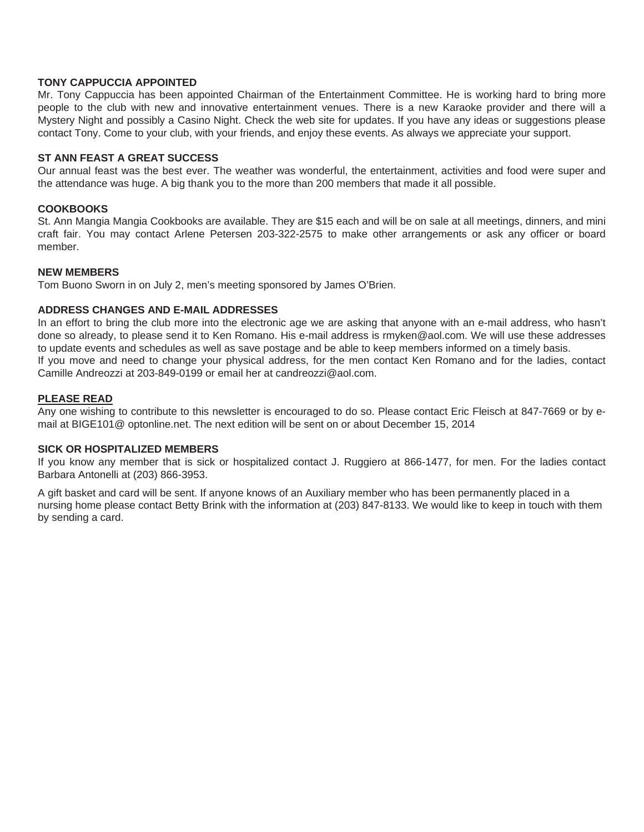### **TONY CAPPUCCIA APPOINTED**

Mr. Tony Cappuccia has been appointed Chairman of the Entertainment Committee. He is working hard to bring more people to the club with new and innovative entertainment venues. There is a new Karaoke provider and there will a Mystery Night and possibly a Casino Night. Check the web site for updates. If you have any ideas or suggestions please contact Tony. Come to your club, with your friends, and enjoy these events. As always we appreciate your support.

#### **ST ANN FEAST A GREAT SUCCESS**

Our annual feast was the best ever. The weather was wonderful, the entertainment, activities and food were super and the attendance was huge. A big thank you to the more than 200 members that made it all possible.

### **COOKBOOKS**

St. Ann Mangia Mangia Cookbooks are available. They are \$15 each and will be on sale at all meetings, dinners, and mini craft fair. You may contact Arlene Petersen 203-322-2575 to make other arrangements or ask any officer or board member.

#### **NEW MEMBERS**

Tom Buono Sworn in on July 2, men's meeting sponsored by James O'Brien.

#### **ADDRESS CHANGES AND E-MAIL ADDRESSES**

In an effort to bring the club more into the electronic age we are asking that anyone with an e-mail address, who hasn't done so already, to please send it to Ken Romano. His e-mail address is rmyken@aol.com. We will use these addresses to update events and schedules as well as save postage and be able to keep members informed on a timely basis. If you move and need to change your physical address, for the men contact Ken Romano and for the ladies, contact Camille Andreozzi at 203-849-0199 or email her at candreozzi@aol.com.

#### **PLEASE READ**

Any one wishing to contribute to this newsletter is encouraged to do so. Please contact Eric Fleisch at 847-7669 or by email at BIGE101@ optonline.net. The next edition will be sent on or about December 15, 2014

#### **SICK OR HOSPITALIZED MEMBERS**

If you know any member that is sick or hospitalized contact J. Ruggiero at 866-1477, for men. For the ladies contact Barbara Antonelli at (203) 866-3953.

A gift basket and card will be sent. If anyone knows of an Auxiliary member who has been permanently placed in a nursing home please contact Betty Brink with the information at (203) 847-8133. We would like to keep in touch with them by sending a card.